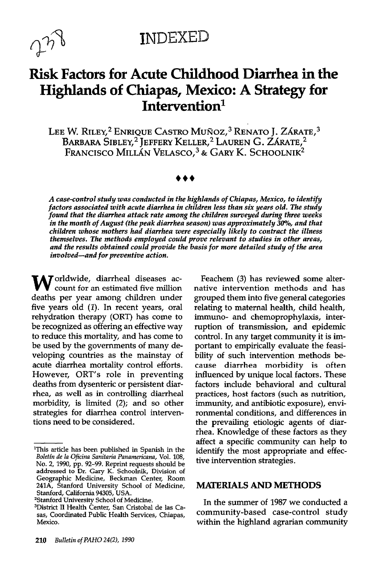

**INDEXED** 

# Risk Factors for Acute Childhood Diarrhea in the Highlands of Chiapas, Mexico: A Strategy for Intervention<sup>1</sup>

LEE W. RILEY,<sup>2</sup> ENRIQUE CASTRO MUÑOZ,<sup>3</sup> RENATO J. ZÁRATE,<sup>3</sup> BARBARA SIBLEY,<sup>2</sup> JEFFERY KELLER,<sup>2</sup> LAUREN G. ZARATE,<sup>2</sup> FRANCISCO MILLÁN VELASCO,<sup>3</sup> & GARY K. SCHOOLNIK<sup>2</sup>

A case-control study was conducted in the highlands of Chiapas, Mexico, to identify factors associated with acute diarrhea in children less than six years old. The study found that the diarrhea attack rate among the children surveyed during three weeks in the month of August (the peak diarrhea season) was approximately 30%, and that children whose mothers had diarrhea were especially likely to contract the illness themselves. The methods employed could prove relevant to studies in other areas, and the results obtained could provide the basis for more detailed study of the area involved-and for preventive action.

W orldwide, diarrheal diseases account for an estimated five million deaths per year among children under five years old (1). In recent years, oral rehydration therapy (ORT) has come to be recognized as offering an effective way to reduce this mortality, and has come to be used by the governments of many developing countries as the mainstay of acute diarrhea mortality control efforts. However, ORT's role in preventing deaths from dysenteric or persistent diarrhea, as well as in controlling diarrheal morbidity, is limited (2); and so other strategies for diarrhea control interventions need to be considered.

Feachem (3) has reviewed some alternative intervention methods and has grouped them into five general categories relating to maternal health, child health, immuno- and chemoprophylaxis, interruption of transmission, and epidemic control. In any target community it is important to empirically evaluate the feasibility of such intervention methods because diarrhea morbidity is often influenced by unique local factors. These factors include behavioral and cultural practices, host factors (such as nutrition, immunity, and antibiotic exposure), environmental conditions, and differences in the prevailing etiologic agents of diarrhea. Knowledge of these factors as they affect a specific community can help to identify the most appropriate and effective intervention strategies.

#### MATERIALS AND METHODS

In the summer of 1987 we conducted a community-based case-control study within the highland agrarian community

<sup>&#</sup>x27;This article has been published in Spanish in the Boletin de la Oficina Sanitaria Panamericana, Vol. 108, No. 2, 1990, pp. 92-99. Reprint requests should be addressed to Dr. Gary K. Schoolnik, Division of Geographic Medicine, Beckman Center, Room 241A, Stanford University School of Medicine, Stanford, California 94305, USA.

<sup>&</sup>lt;sup>2</sup>Stanford University School of Medicine.

<sup>3</sup>District II Health Center, San Cristobal de las Casas, Coordinated Public Health Services, Chiapas, Mexico.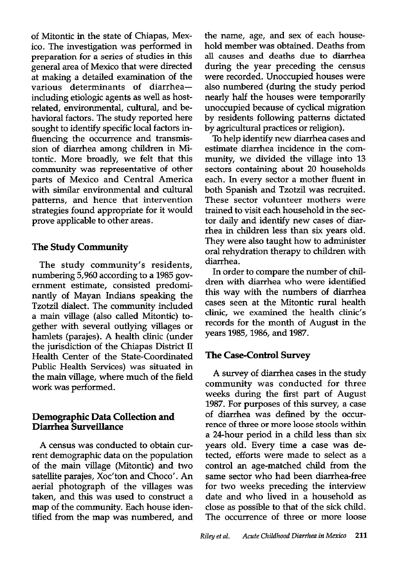of Mitontic in the state of Chiapas, Mexico. The investigation was performed in preparation for a series of studies in this general area of Mexico that were directed at making a detailed examination of the various determinants of diarrheaincluding etiologic agents as well as hostrelated, environmental, cultural, and behavioral factors. The study reported here sought to identify specific local factors influencing the occurrence and transmission of diarrhea among children in Mitontic. More broadly, we felt that this community was representative of other parts of Mexico and Central America with similar environmental and cultural patterns, and hence that intervention strategies found appropriate for it would prove applicable to other areas.

#### The Study Community

The study community's residents, numbering 5,960 according to a 1985 government estimate, consisted predominantly of Mayan Indians speaking the Tzotzil dialect. The community included a main village (also called Mitontic) together with several outlying villages or hamlets (parajes). A health clinic (under the jurisdiction of the Chiapas District II Health Center of the State-Coordinated Public Health Services) was situated in the main village, where much of the field work was performed.

#### Demographic Data Collection and Diarrhea Surveillance

A census was conducted to obtain current demographic data on the population of the main village (Mitontic) and two satellite parajes, Xoc'ton and Choco'. An aerial photograph of the villages was taken, and this was used to construct a map of the community. Each house identified from the map was numbered, and

the name, age, and sex of each household member was obtained. Deaths from all causes and deaths due to diarrhea during the year preceding the census were recorded. Unoccupied houses were also numbered (during the study period nearly half the houses were temporarily unoccupied because of cyclical migration by residents following patterns dictated by agricultural practices or religion).

To help identify new diarrhea cases and estimate diarrhea incidence in the community, we divided the village into 13 sectors containing about 20 households each. In every sector a mother fluent in both Spanish and Tzotzil was recruited. These sector volunteer mothers were trained to visit each household in the sector daily and identify new cases of diarrhea in children less than six years old. They were also taught how to administer oral rehydration therapy to children with diarrhea.

In order to compare the number of children with diarrhea who were identified this way with the numbers of diarrhea cases seen at the Mitontic rural health clinic, we examined the health clinic's records for the month of August in the years 1985,1986, and 1987.

### The Case-Control Survey

A survey of diarrhea cases in the study community was conducted for three weeks during the first part of August 1987. For purposes of this survey, a case of diarrhea was defined by the occurrence of three or more loose stools within a 24-hour period in a child less than six years old. Every time a case was detected, efforts were made to select as a control an age-matched child from the same sector who had been diarrhea-free for two weeks preceding the interview date and who lived in a household as close as possible to that of the sick child. The occurrence of three or more loose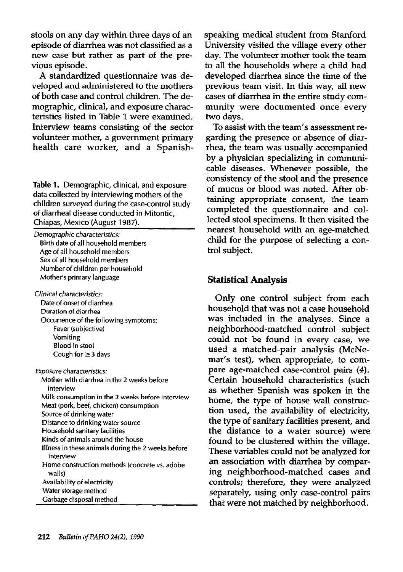stools on any day within three days of an episode of diarrhea was not classified as a new case but rather as part of the previous episode.

A standardized questionnaire was developed and administered to the mothers of both case and control children. The demographic, clinical, and exposure characteristics listed in Table 1 were examined. Interview teams consisting of the sector volunteer mother, a government primary health care worker, and a Spanish-

Table 1. Demographic, clinical, and exposure data collected by interviewing mothers of the children surveyed during the case-control study of diarrheal disease conducted in Mitontic. Chiapas, Mexico (August 1987).

| Demographic characteristics:<br>Birth date of all household members<br>Age of all household members<br>Sex of all household members<br>Number of children per household<br>Mother's primary language                                                                                                                                                                                                                                                                                                                                             |
|--------------------------------------------------------------------------------------------------------------------------------------------------------------------------------------------------------------------------------------------------------------------------------------------------------------------------------------------------------------------------------------------------------------------------------------------------------------------------------------------------------------------------------------------------|
| Clinical characteristics:<br>Date of onset of diarrhea<br>Duration of diarrhea<br>Occurrence of the following symptoms:<br>Fever (subjective)<br>Vomiting<br><b>Blood in stool</b><br>Cough for $\geq$ 3 days                                                                                                                                                                                                                                                                                                                                    |
| <b>Exposure characteristics:</b><br>Mother with diarrhea in the 2 weeks before<br>interview<br>Milk consumption in the 2 weeks before interview<br>Meat (pork, beef, chicken) consumption<br>Source of drinking water<br>Distance to drinking water source<br>Household sanitary facilities<br>Kinds of animals around the house<br>Illness in these animals during the 2 weeks before<br>interview<br>Home construction methods (concrete vs. adobe<br>walls)<br>Availability of electricity<br>Water storage method<br>Garbage disposal method |

speaking medical student from Stanford University visited the village every other day. The volunteer mother took the team to all the households where a child had developed diarrhea since the time of the previous team visit. In this way, all new cases of diarrhea in the entire study community were documented once every two days.

To assist with the team's assessment regarding the presence or absence of diarrhea, the team was usually accompanied by a physician specializing in communicable diseases. Whenever possible, the consistency of the stool and the presence of mucus or blood was noted. After obtaining appropriate consent, the team completed the questionnaire and collected stool specimens. It then visited the nearest household with an age-matched child for the purpose of selecting a control subject.

#### Statistical Analysis

Only one control subject from each household that was not a case household was included in the analyses. Since a neighborhood-matched control subject could not be found in every case, we used a matched-pair analysis (McNemar's test), when appropriate, to compare age-matched case-control pairs (4). Certain household characteristics (such as whether Spanish was spoken in the home, the type of house wall construction used, the availability of electricity, the type of sanitary facilities present, and the distance to a water source) were found to be clustered within the village. These variables could not be analyzed for an association with diarrhea by comparing neighborhood-matched cases and controls; therefore, they were analyzed separately, using only case-control pairs that were not matched by neighborhood.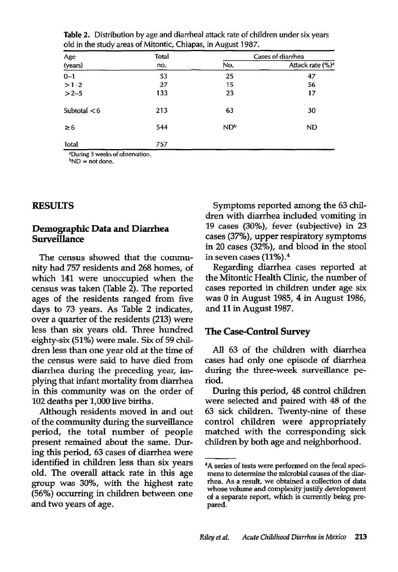| Age<br>(years) | Total<br>no. | Cases of diarrhea |                              |
|----------------|--------------|-------------------|------------------------------|
|                |              | No.               | Attack rate (%) <sup>a</sup> |
| $0 - 1$        | 53           | 25                | 47                           |
| $>1-2$         | 27           | 15                | 56                           |
| $>2-5$         | 133          | 23                | 17                           |
| Subtotal $< 6$ | 213          | 63                | 30                           |
| $\geq 6$       | 544          | ND <sup>b</sup>   | <b>ND</b>                    |
| Total          | 757          |                   |                              |

Table 2. Distribution by age and diarrheal attack rate of children under six years old in the study areas of Mitontic, Chiapas, in August 1987.

During 3 weeks of observation.  $bND = not done.$ 

#### RESULTS

#### Demographic Data and Diarrhea Surveillance

The census showed that the community had 757 residents and 268 homes, of which 141 were unoccupied when the census was taken (Table 2). The reported ages of the residents ranged from five days to 73 years. As Table 2 indicates, over a quarter of the residents (213) were less than six years old. Three hundred eighty-six (51%) were male. Six of 59 children less than one year old at the time of the census were said to have died from diarrhea during the preceding year, implying that infant mortality from diarrhea in this community was on the order of 102 deaths per 1,000 live births.

Although residents moved in and out of the community during the surveillance period, the total number of people present remained about the same. During this period, 63 cases of diarrhea were identified in children less than six years old. The overall attack rate in this age group was 30%, with the highest rate (56%) occurring in children between one and two years of age.

Symptoms reported among the 63 children with diarrhea included vomiting in 19 cases (30%), fever (subjective) in 23 cases (37%), upper respiratory symptoms in 20 cases (32%), and blood in the stool in seven cases (11%).4

Regarding diarrhea cases reported at the Mitontic Health Clinic, the number of cases reported in children under age six was 0 in August 1985, 4 in August 1986, and 11 in August 1987.

#### The Case-Control Survey

All 63 of the children with diarrhea cases had only one episode of diarrhea during the three-week surveillance period.

During this period, 48 control children were selected and paired with 48 of the 63 sick children. Twenty-nine of these control children were appropriately matched with the corresponding sick children by both age and neighborhood.

<sup>4</sup>A series of tests were performed on the fecal specimens to determine the microbial causes of the diarrhea. As a result, we obtained a collection of data whose volume and complexity justify development of a separate report, which is currently being prepared.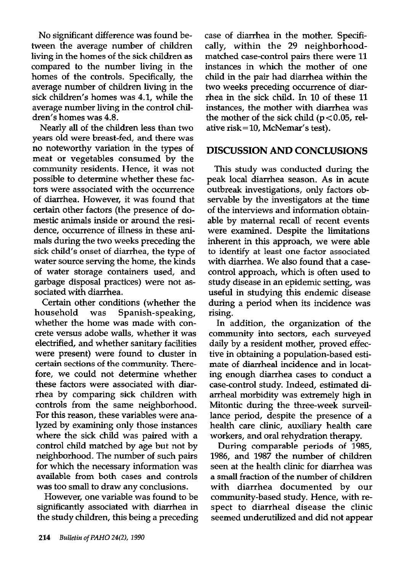No significant difference was found between the average number of children living in the homes of the sick children as compared to the number living in the homes of the controls. Specifically, the average number of children living in the sick children's homes was 4.1, while the average number living in the control children's homes was 4.8.

Nearly all of the children less than two years old were breast-fed, and there was no noteworthy variation in the types of meat or vegetables consumed by the community residents. Hence, it was not possible to determine whether these factors were associated with the occurrence of diarrhea. However, it was found that certain other factors (the presence of domestic animals inside or around the residence, occurrence of illness in these animals during the two weeks preceding the sick child's onset of diarrhea, the type of water source serving the home, the kinds of water storage containers used, and garbage disposal practices) were not associated with diarrhea.

Certain other conditions (whether the household was Spanish-speaking, whether the home was made with concrete versus adobe walls, whether it was electrified, and whether sanitary facilities were present) were found to cluster in certain sections of the community. Therefore, we could not determine whether these factors were associated with diarrhea by comparing sick children with controls from the same neighborhood. For this reason, these variables were analyzed by examining only those instances where the sick child was paired with a control child matched by age but not by neighborhood. The number of such pairs for which the necessary information was available from both cases and controls was too small to draw any conclusions.

However, one variable was found to be significantly associated with diarrhea in the study children, this being a preceding

case of diarrhea in the mother. Specifically, within the 29 neighborhoodmatched case-control pairs there were 11 instances in which the mother of one child in the pair had diarrhea within the two weeks preceding occurrence of diarrhea in the sick child. In 10 of these 11 instances, the mother with diarrhea was the mother of the sick child  $(p < 0.05$ , relative risk = 10, McNemar's test).

#### DISCUSSION AND CONCLUSIONS

This study was conducted during the peak local diarrhea season. As in acute outbreak investigations, only factors observable by the investigators at the time of the interviews and information obtainable by maternal recall of recent events were examined. Despite the limitations inherent in this approach, we were able to identify at least one factor associated with diarrhea. We also found that a casecontrol approach, which is often used to study disease in an epidemic setting, was useful in studying this endemic disease during a period when its incidence was rising.

In addition, the organization of the community into sectors, each surveyed daily by a resident mother, proved effective in obtaining a population-based estimate of diarrheal incidence and in locating enough diarrhea cases to conduct a case-control study. Indeed, estimated diarrheal morbidity was extremely high in Mitontic during the three-week surveillance period, despite the presence of a health care clinic, auxiliary health care workers, and oral rehydration therapy.

During comparable periods of 1985, 1986, and 1987 the number of children seen at the health clinic for diarrhea was a small fraction of the number of children with diarrhea documented by our community-based study. Hence, with respect to diarrhea1 disease the clinic seemed underutilized and did not appear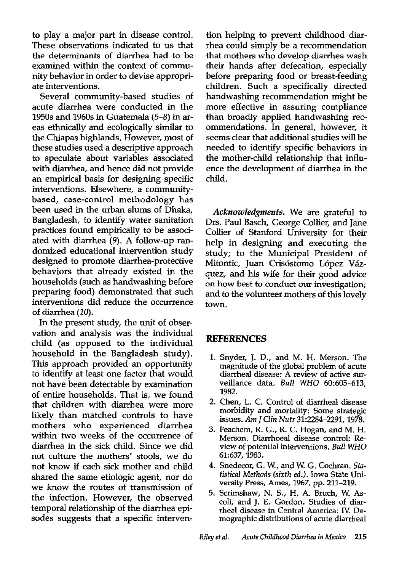to play a major part in disease control. These observations indicated to us that the determinants of diarrhea had to be examined within the context of community behavior in order to devise appropriate interventions.

Several community-based studies of acute diarrhea were conducted in the 1950s and 1960s in Guatemala (5-8) in areas ethnically and ecologically similar to the Chiapas highlands. However, most of these studies used a descriptive approach to speculate about variables associated with diarrhea, and hence did not provide an empirical basis for designing specific interventions. Elsewhere, a communitybased, case-control methodology has been used in the urban slums of Dhaka, Bangladesh, to identify water sanitation practices found empirically to be associated with diarrhea (9). A follow-up randomized educational intervention study designed to promote diarrhea-protective behaviors that already existed in the households (such as handwashing before preparing food) demonstrated that such interventions did reduce the occurrence of diarrhea (10).

In the present study, the unit of observation and analysis was the individual child (as opposed to the individual household in the Bangladesh study). This approach provided an opportunity to identify at least one factor that would not have been detectable by examination of entire households. That is, we found that children with diarrhea were more likely than matched controls to have mothers who experienced diarrhea within two weeks of the occurrence of diarrhea in the sick child. Since we did not culture the mothers' stools, we do not know if each sick mother and child shared the same etiologic agent, nor do we know the routes of transmission of the infection. However, the observed temporal relationship of the diarrhea episodes suggests that a specific intervention helping to prevent childhood diarrhea could simply be a recommendation that mothers who develop diarrhea wash their hands after defecation, especially before preparing food or breast-feeding children. Such a specifically directed handwashing recommendation might be more effective in assuring compliance than broadly applied handwashing recommendations. In general, however, it seems clear that additional studies will be needed to identify specific behaviors in the mother-child relationship that influence the development of diarrhea in the child.

Acknowledgments. We are grateful to Drs. Paul Basch, George Collier, and Jane Collier of Stanford University for their help in designing and executing the study; to the Municipal President of Mitontic, Juan Crisóstomo López Vázquez, and his wife for their good advice on how best to conduct our investigation; and to the volunteer mothers of this lovely town.

#### **REFERENCES**

- 1. Snyder, J. D., and M. H. Merson. The magnitude of the global problem of acute diarrheaI disease: A review of active surveillance data. Bull WHO 60:605-613, 1982.
- 2. Chen, L. C. Control of diarrheal disease morbidity and mortality: Some strategic issues. Am J Clin Nufr 31:2284-2291, 1978.
- 3. Feachem, R. G., R. C. Hogan, and M. H. Merson. Diarrhoeal disease control: Review of potential interventions. Bull WHO 61:637,1983.
- 4. Snedecor, G. W., and W. G. Cochran. Stafistical Methods (sixth ed.). Iowa State University Press, Ames, 1967, pp. 211-219.
- 5. Scrimshaw, N. S., H. A. Bruch, W. Ascoli, and J. E. Gordon. Studies of diarrheal disease in Central America: IV. Demographic distributions of acute diarrheal